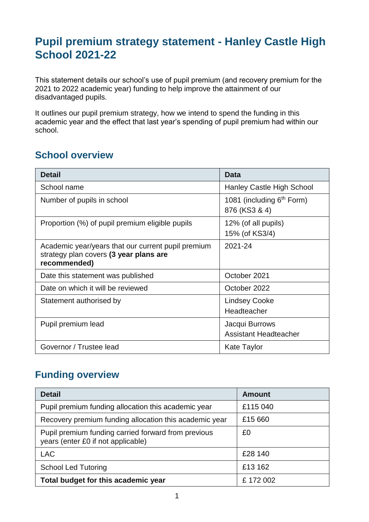## **Pupil premium strategy statement - Hanley Castle High School 2021-22**

This statement details our school's use of pupil premium (and recovery premium for the 2021 to 2022 academic year) funding to help improve the attainment of our disadvantaged pupils.

It outlines our pupil premium strategy, how we intend to spend the funding in this academic year and the effect that last year's spending of pupil premium had within our school.

#### **School overview**

| <b>Detail</b>                                                                                                | <b>Data</b>                                            |
|--------------------------------------------------------------------------------------------------------------|--------------------------------------------------------|
| School name                                                                                                  | Hanley Castle High School                              |
| Number of pupils in school                                                                                   | 1081 (including 6 <sup>th</sup> Form)<br>876 (KS3 & 4) |
| Proportion (%) of pupil premium eligible pupils                                                              | 12% (of all pupils)<br>15% (of KS3/4)                  |
| Academic year/years that our current pupil premium<br>strategy plan covers (3 year plans are<br>recommended) | 2021-24                                                |
| Date this statement was published                                                                            | October 2021                                           |
| Date on which it will be reviewed                                                                            | October 2022                                           |
| Statement authorised by                                                                                      | <b>Lindsey Cooke</b><br>Headteacher                    |
| Pupil premium lead                                                                                           | Jacqui Burrows<br><b>Assistant Headteacher</b>         |
| Governor / Trustee lead                                                                                      | <b>Kate Taylor</b>                                     |

### **Funding overview**

| <b>Detail</b>                                                                             | <b>Amount</b> |
|-------------------------------------------------------------------------------------------|---------------|
| Pupil premium funding allocation this academic year                                       | £115 040      |
| Recovery premium funding allocation this academic year                                    | £15 660       |
| Pupil premium funding carried forward from previous<br>years (enter £0 if not applicable) | £0            |
| <b>LAC</b>                                                                                | £28 140       |
| <b>School Led Tutoring</b>                                                                | £13 162       |
| Total budget for this academic year                                                       | £172002       |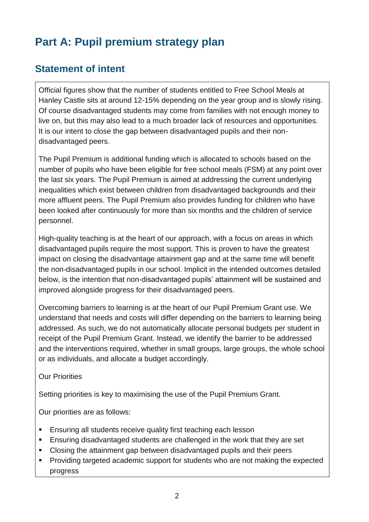# **Part A: Pupil premium strategy plan**

## **Statement of intent**

Official figures show that the number of students entitled to Free School Meals at Hanley Castle sits at around 12-15% depending on the year group and is slowly rising. Of course disadvantaged students may come from families with not enough money to live on, but this may also lead to a much broader lack of resources and opportunities. It is our intent to close the gap between disadvantaged pupils and their nondisadvantaged peers.

The Pupil Premium is additional funding which is allocated to schools based on the number of pupils who have been eligible for free school meals (FSM) at any point over the last six years. The Pupil Premium is aimed at addressing the current underlying inequalities which exist between children from disadvantaged backgrounds and their more affluent peers. The Pupil Premium also provides funding for children who have been looked after continuously for more than six months and the children of service personnel.

High-quality teaching is at the heart of our approach, with a focus on areas in which disadvantaged pupils require the most support. This is proven to have the greatest impact on closing the disadvantage attainment gap and at the same time will benefit the non-disadvantaged pupils in our school. Implicit in the intended outcomes detailed below, is the intention that non-disadvantaged pupils' attainment will be sustained and improved alongside progress for their disadvantaged peers.

Overcoming barriers to learning is at the heart of our Pupil Premium Grant use. We understand that needs and costs will differ depending on the barriers to learning being addressed. As such, we do not automatically allocate personal budgets per student in receipt of the Pupil Premium Grant. Instead, we identify the barrier to be addressed and the interventions required, whether in small groups, large groups, the whole school or as individuals, and allocate a budget accordingly.

#### Our Priorities

Setting priorities is key to maximising the use of the Pupil Premium Grant.

Our priorities are as follows:

- Ensuring all students receive quality first teaching each lesson
- Ensuring disadvantaged students are challenged in the work that they are set
- Closing the attainment gap between disadvantaged pupils and their peers
- Providing targeted academic support for students who are not making the expected progress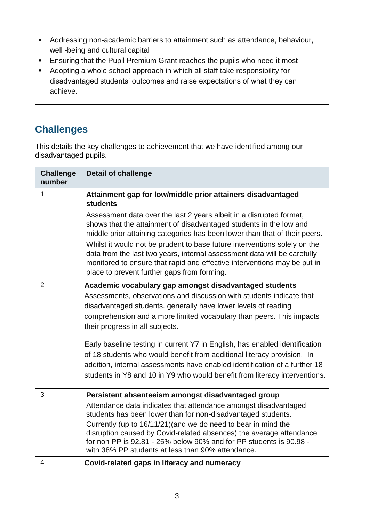- Addressing non-academic barriers to attainment such as attendance, behaviour, well -being and cultural capital
- **Ensuring that the Pupil Premium Grant reaches the pupils who need it most**
- Adopting a whole school approach in which all staff take responsibility for disadvantaged students' outcomes and raise expectations of what they can achieve.

## **Challenges**

This details the key challenges to achievement that we have identified among our disadvantaged pupils.

| <b>Challenge</b><br>number | <b>Detail of challenge</b>                                                                                                                                                                                                                                                       |
|----------------------------|----------------------------------------------------------------------------------------------------------------------------------------------------------------------------------------------------------------------------------------------------------------------------------|
| 1                          | Attainment gap for low/middle prior attainers disadvantaged<br><b>students</b><br>Assessment data over the last 2 years albeit in a disrupted format,                                                                                                                            |
|                            | shows that the attainment of disadvantaged students in the low and<br>middle prior attaining categories has been lower than that of their peers.                                                                                                                                 |
|                            | Whilst it would not be prudent to base future interventions solely on the<br>data from the last two years, internal assessment data will be carefully<br>monitored to ensure that rapid and effective interventions may be put in<br>place to prevent further gaps from forming. |
| $\overline{2}$             | Academic vocabulary gap amongst disadvantaged students                                                                                                                                                                                                                           |
|                            | Assessments, observations and discussion with students indicate that                                                                                                                                                                                                             |
|                            | disadvantaged students. generally have lower levels of reading<br>comprehension and a more limited vocabulary than peers. This impacts                                                                                                                                           |
|                            | their progress in all subjects.                                                                                                                                                                                                                                                  |
|                            | Early baseline testing in current Y7 in English, has enabled identification                                                                                                                                                                                                      |
|                            | of 18 students who would benefit from additional literacy provision. In<br>addition, internal assessments have enabled identification of a further 18                                                                                                                            |
|                            | students in Y8 and 10 in Y9 who would benefit from literacy interventions.                                                                                                                                                                                                       |
| 3                          | Persistent absenteeism amongst disadvantaged group                                                                                                                                                                                                                               |
|                            | Attendance data indicates that attendance amongst disadvantaged<br>students has been lower than for non-disadvantaged students.                                                                                                                                                  |
|                            | Currently (up to 16/11/21) (and we do need to bear in mind the<br>disruption caused by Covid-related absences) the average attendance                                                                                                                                            |
|                            | for non PP is 92.81 - 25% below 90% and for PP students is 90.98 -<br>with 38% PP students at less than 90% attendance.                                                                                                                                                          |
| 4                          | Covid-related gaps in literacy and numeracy                                                                                                                                                                                                                                      |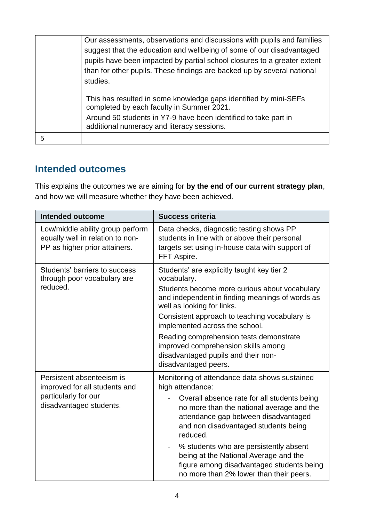| Our assessments, observations and discussions with pupils and families<br>suggest that the education and wellbeing of some of our disadvantaged<br>pupils have been impacted by partial school closures to a greater extent<br>than for other pupils. These findings are backed up by several national<br>studies. |
|--------------------------------------------------------------------------------------------------------------------------------------------------------------------------------------------------------------------------------------------------------------------------------------------------------------------|
| This has resulted in some knowledge gaps identified by mini-SEFs<br>completed by each faculty in Summer 2021.<br>Around 50 students in Y7-9 have been identified to take part in<br>additional numeracy and literacy sessions.                                                                                     |
|                                                                                                                                                                                                                                                                                                                    |

#### **Intended outcomes**

This explains the outcomes we are aiming for **by the end of our current strategy plan**, and how we will measure whether they have been achieved.

| <b>Intended outcome</b>                                                                                       | <b>Success criteria</b>                                                                                                                                                                                                                                                                                                                                                                                                              |
|---------------------------------------------------------------------------------------------------------------|--------------------------------------------------------------------------------------------------------------------------------------------------------------------------------------------------------------------------------------------------------------------------------------------------------------------------------------------------------------------------------------------------------------------------------------|
| Low/middle ability group perform<br>equally well in relation to non-<br>PP as higher prior attainers.         | Data checks, diagnostic testing shows PP<br>students in line with or above their personal<br>targets set using in-house data with support of<br>FFT Aspire.                                                                                                                                                                                                                                                                          |
| Students' barriers to success<br>through poor vocabulary are<br>reduced.                                      | Students' are explicitly taught key tier 2<br>vocabulary.<br>Students become more curious about vocabulary<br>and independent in finding meanings of words as<br>well as looking for links.<br>Consistent approach to teaching vocabulary is<br>implemented across the school.<br>Reading comprehension tests demonstrate<br>improved comprehension skills among<br>disadvantaged pupils and their non-<br>disadvantaged peers.      |
| Persistent absenteeism is<br>improved for all students and<br>particularly for our<br>disadvantaged students. | Monitoring of attendance data shows sustained<br>high attendance:<br>Overall absence rate for all students being<br>no more than the national average and the<br>attendance gap between disadvantaged<br>and non disadvantaged students being<br>reduced.<br>% students who are persistently absent<br>being at the National Average and the<br>figure among disadvantaged students being<br>no more than 2% lower than their peers. |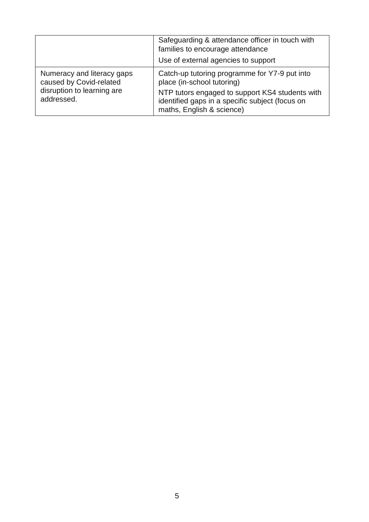|                                                                                                   | Safeguarding & attendance officer in touch with<br>families to encourage attendance<br>Use of external agencies to support                                                                                     |
|---------------------------------------------------------------------------------------------------|----------------------------------------------------------------------------------------------------------------------------------------------------------------------------------------------------------------|
| Numeracy and literacy gaps<br>caused by Covid-related<br>disruption to learning are<br>addressed. | Catch-up tutoring programme for Y7-9 put into<br>place (in-school tutoring)<br>NTP tutors engaged to support KS4 students with<br>identified gaps in a specific subject (focus on<br>maths, English & science) |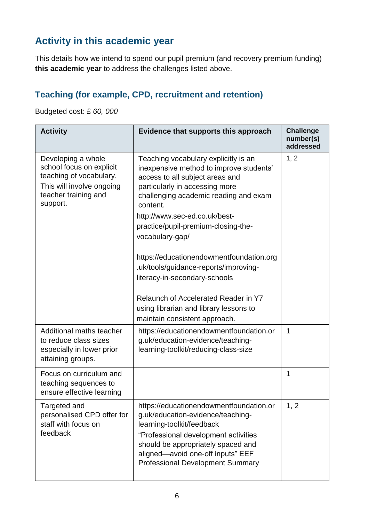## **Activity in this academic year**

This details how we intend to spend our pupil premium (and recovery premium funding) **this academic year** to address the challenges listed above.

## **Teaching (for example, CPD, recruitment and retention)**

Budgeted cost: £ *60, 000*

| <b>Activity</b>                                                                                                                            | Evidence that supports this approach                                                                                                                                                                                                                                                                                                                                                                                                                                                                                                          | <b>Challenge</b><br>number(s)<br>addressed |
|--------------------------------------------------------------------------------------------------------------------------------------------|-----------------------------------------------------------------------------------------------------------------------------------------------------------------------------------------------------------------------------------------------------------------------------------------------------------------------------------------------------------------------------------------------------------------------------------------------------------------------------------------------------------------------------------------------|--------------------------------------------|
| Developing a whole<br>school focus on explicit<br>teaching of vocabulary.<br>This will involve ongoing<br>teacher training and<br>support. | Teaching vocabulary explicitly is an<br>inexpensive method to improve students'<br>access to all subject areas and<br>particularly in accessing more<br>challenging academic reading and exam<br>content.<br>http://www.sec-ed.co.uk/best-<br>practice/pupil-premium-closing-the-<br>vocabulary-gap/<br>https://educationendowmentfoundation.org<br>.uk/tools/guidance-reports/improving-<br>literacy-in-secondary-schools<br>Relaunch of Accelerated Reader in Y7<br>using librarian and library lessons to<br>maintain consistent approach. | 1, 2                                       |
| Additional maths teacher<br>to reduce class sizes<br>especially in lower prior<br>attaining groups.                                        | https://educationendowmentfoundation.or<br>g.uk/education-evidence/teaching-<br>learning-toolkit/reducing-class-size                                                                                                                                                                                                                                                                                                                                                                                                                          | 1                                          |
| Focus on curriculum and<br>teaching sequences to<br>ensure effective learning                                                              |                                                                                                                                                                                                                                                                                                                                                                                                                                                                                                                                               | 1                                          |
| Targeted and<br>personalised CPD offer for<br>staff with focus on<br>feedback                                                              | https://educationendowmentfoundation.or<br>g.uk/education-evidence/teaching-<br>learning-toolkit/feedback<br>"Professional development activities<br>should be appropriately spaced and<br>aligned-avoid one-off inputs" EEF<br><b>Professional Development Summary</b>                                                                                                                                                                                                                                                                       | 1, 2                                       |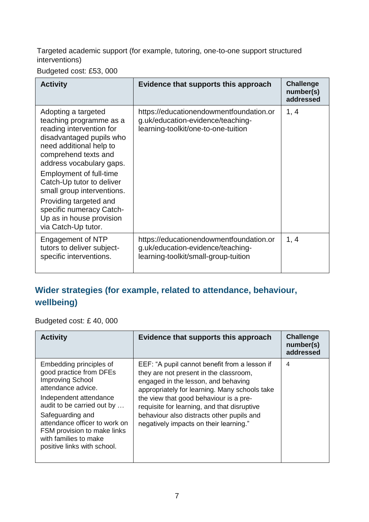Targeted academic support (for example, tutoring, one-to-one support structured interventions)

Budgeted cost: £53, 000

| <b>Activity</b>                                                                                                                                                                                                                                                                                                                                                                             | Evidence that supports this approach                                                                                 | <b>Challenge</b><br>number(s)<br>addressed |
|---------------------------------------------------------------------------------------------------------------------------------------------------------------------------------------------------------------------------------------------------------------------------------------------------------------------------------------------------------------------------------------------|----------------------------------------------------------------------------------------------------------------------|--------------------------------------------|
| Adopting a targeted<br>teaching programme as a<br>reading intervention for<br>disadvantaged pupils who<br>need additional help to<br>comprehend texts and<br>address vocabulary gaps.<br><b>Employment of full-time</b><br>Catch-Up tutor to deliver<br>small group interventions.<br>Providing targeted and<br>specific numeracy Catch-<br>Up as in house provision<br>via Catch-Up tutor. | https://educationendowmentfoundation.or<br>g.uk/education-evidence/teaching-<br>learning-toolkit/one-to-one-tuition  | 1, 4                                       |
| Engagement of NTP<br>tutors to deliver subject-<br>specific interventions.                                                                                                                                                                                                                                                                                                                  | https://educationendowmentfoundation.or<br>g.uk/education-evidence/teaching-<br>learning-toolkit/small-group-tuition | 1, 4                                       |

## **Wider strategies (for example, related to attendance, behaviour, wellbeing)**

Budgeted cost: £ 40, 000

| <b>Activity</b>                                                                                                                                                                                                                                                                                         | Evidence that supports this approach                                                                                                                                                                                                                                                                                                                            | <b>Challenge</b><br>number(s)<br>addressed |
|---------------------------------------------------------------------------------------------------------------------------------------------------------------------------------------------------------------------------------------------------------------------------------------------------------|-----------------------------------------------------------------------------------------------------------------------------------------------------------------------------------------------------------------------------------------------------------------------------------------------------------------------------------------------------------------|--------------------------------------------|
| Embedding principles of<br>good practice from DFEs<br><b>Improving School</b><br>attendance advice.<br>Independent attendance<br>audit to be carried out by<br>Safeguarding and<br>attendance officer to work on<br>FSM provision to make links<br>with families to make<br>positive links with school. | EEF: "A pupil cannot benefit from a lesson if<br>they are not present in the classroom,<br>engaged in the lesson, and behaving<br>appropriately for learning. Many schools take<br>the view that good behaviour is a pre-<br>requisite for learning, and that disruptive<br>behaviour also distracts other pupils and<br>negatively impacts on their learning." | 4                                          |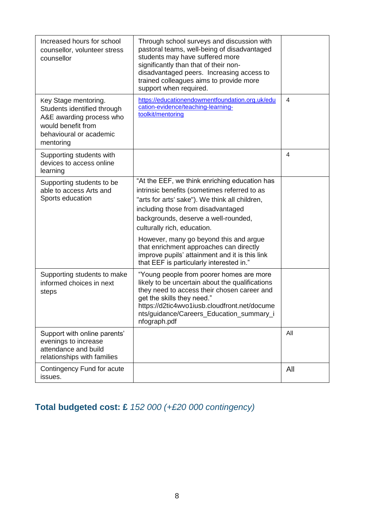| Increased hours for school<br>counsellor, volunteer stress<br>counsellor                                                                      | Through school surveys and discussion with<br>pastoral teams, well-being of disadvantaged<br>students may have suffered more<br>significantly than that of their non-<br>disadvantaged peers. Increasing access to<br>trained colleagues aims to provide more<br>support when required.                                                                                                                                                         |     |
|-----------------------------------------------------------------------------------------------------------------------------------------------|-------------------------------------------------------------------------------------------------------------------------------------------------------------------------------------------------------------------------------------------------------------------------------------------------------------------------------------------------------------------------------------------------------------------------------------------------|-----|
| Key Stage mentoring.<br>Students identified through<br>A&E awarding process who<br>would benefit from<br>behavioural or academic<br>mentoring | https://educationendowmentfoundation.org.uk/edu<br>cation-evidence/teaching-learning-<br>toolkit/mentoring                                                                                                                                                                                                                                                                                                                                      | 4   |
| Supporting students with<br>devices to access online<br>learning                                                                              |                                                                                                                                                                                                                                                                                                                                                                                                                                                 | 4   |
| Supporting students to be<br>able to access Arts and<br>Sports education                                                                      | "At the EEF, we think enriching education has<br>intrinsic benefits (sometimes referred to as<br>"arts for arts' sake"). We think all children,<br>including those from disadvantaged<br>backgrounds, deserve a well-rounded,<br>culturally rich, education.<br>However, many go beyond this and argue<br>that enrichment approaches can directly<br>improve pupils' attainment and it is this link<br>that EEF is particularly interested in." |     |
| Supporting students to make<br>informed choices in next<br>steps                                                                              | "Young people from poorer homes are more<br>likely to be uncertain about the qualifications<br>they need to access their chosen career and<br>get the skills they need."<br>https://d2tic4wvo1iusb.cloudfront.net/docume<br>nts/guidance/Careers_Education_summary_i<br>nfograph.pdf                                                                                                                                                            |     |
| Support with online parents'<br>evenings to increase<br>attendance and build<br>relationships with families                                   |                                                                                                                                                                                                                                                                                                                                                                                                                                                 | All |
| Contingency Fund for acute<br>issues.                                                                                                         |                                                                                                                                                                                                                                                                                                                                                                                                                                                 | All |

## **Total budgeted cost: £** *152 000 (+£20 000 contingency)*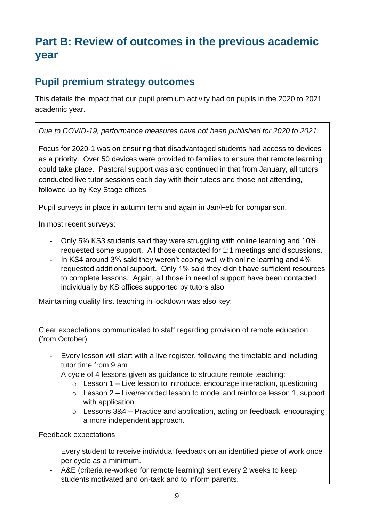# **Part B: Review of outcomes in the previous academic year**

### **Pupil premium strategy outcomes**

This details the impact that our pupil premium activity had on pupils in the 2020 to 2021 academic year.

#### *Due to COVID-19, performance measures have not been published for 2020 to 2021.*

Focus for 2020-1 was on ensuring that disadvantaged students had access to devices as a priority. Over 50 devices were provided to families to ensure that remote learning could take place. Pastoral support was also continued in that from January, all tutors conducted live tutor sessions each day with their tutees and those not attending, followed up by Key Stage offices.

Pupil surveys in place in autumn term and again in Jan/Feb for comparison.

In most recent surveys:

- Only 5% KS3 students said they were struggling with online learning and 10% requested some support. All those contacted for 1:1 meetings and discussions.
- In KS4 around 3% said they weren't coping well with online learning and 4% requested additional support. Only 1% said they didn't have sufficient resources to complete lessons. Again, all those in need of support have been contacted individually by KS offices supported by tutors also

Maintaining quality first teaching in lockdown was also key:

Clear expectations communicated to staff regarding provision of remote education (from October)

- Every lesson will start with a live register, following the timetable and including tutor time from 9 am
- A cycle of 4 lessons given as guidance to structure remote teaching:
	- $\circ$  Lesson 1 Live lesson to introduce, encourage interaction, questioning
	- $\circ$  Lesson 2 Live/recorded lesson to model and reinforce lesson 1, support with application
	- $\circ$  Lessons 3&4 Practice and application, acting on feedback, encouraging a more independent approach.

Feedback expectations

- Every student to receive individual feedback on an identified piece of work once per cycle as a minimum.
- A&E (criteria re-worked for remote learning) sent every 2 weeks to keep students motivated and on-task and to inform parents.